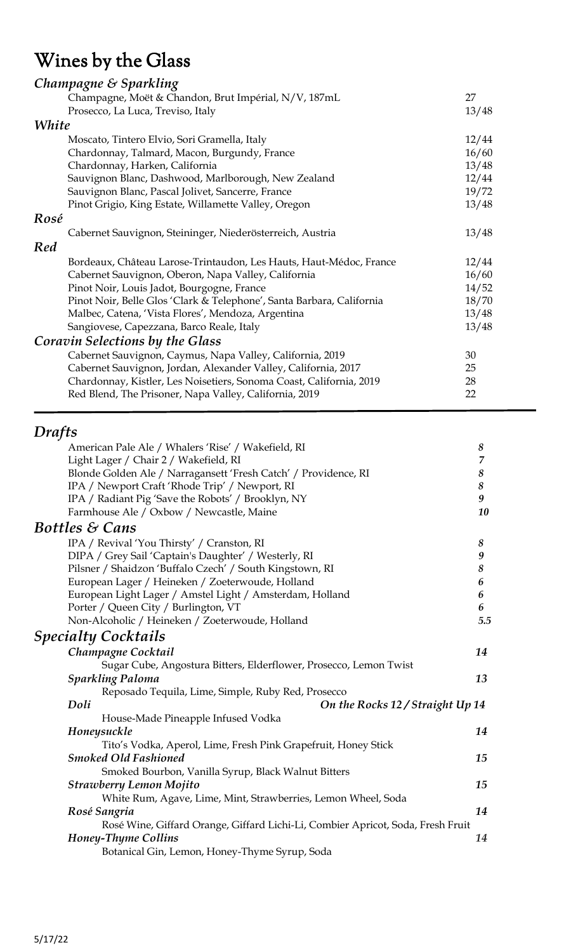# Wines by the Glass

|              | Champagne & Sparkling                                                 |       |
|--------------|-----------------------------------------------------------------------|-------|
|              | Champagne, Moët & Chandon, Brut Impérial, N/V, 187mL                  | 27    |
|              | Prosecco, La Luca, Treviso, Italy                                     | 13/48 |
| <i>White</i> |                                                                       |       |
|              | Moscato, Tintero Elvio, Sori Gramella, Italy                          | 12/44 |
|              | Chardonnay, Talmard, Macon, Burgundy, France                          | 16/60 |
|              | Chardonnay, Harken, California                                        | 13/48 |
|              | Sauvignon Blanc, Dashwood, Marlborough, New Zealand                   | 12/44 |
|              | Sauvignon Blanc, Pascal Jolivet, Sancerre, France                     | 19/72 |
|              | Pinot Grigio, King Estate, Willamette Valley, Oregon                  | 13/48 |
| Rosé         |                                                                       |       |
|              | Cabernet Sauvignon, Steininger, Niederösterreich, Austria             | 13/48 |
| Red          |                                                                       |       |
|              | Bordeaux, Château Larose-Trintaudon, Les Hauts, Haut-Médoc, France    | 12/44 |
|              | Cabernet Sauvignon, Oberon, Napa Valley, California                   | 16/60 |
|              | Pinot Noir, Louis Jadot, Bourgogne, France                            | 14/52 |
|              | Pinot Noir, Belle Glos 'Clark & Telephone', Santa Barbara, California | 18/70 |
|              | Malbec, Catena, 'Vista Flores', Mendoza, Argentina                    | 13/48 |
|              | Sangiovese, Capezzana, Barco Reale, Italy                             | 13/48 |
|              | Coravin Selections by the Glass                                       |       |
|              | Cabernet Sauvignon, Caymus, Napa Valley, California, 2019             | 30    |
|              | Cabernet Sauvignon, Jordan, Alexander Valley, California, 2017        | 25    |
|              | Chardonnay, Kistler, Les Noisetiers, Sonoma Coast, California, 2019   | 28    |
|              | Red Blend, The Prisoner, Napa Valley, California, 2019                | 22    |
|              |                                                                       |       |

# *Drafts*

| American Pale Ale / Whalers 'Rise' / Wakefield, RI                              | 8                |
|---------------------------------------------------------------------------------|------------------|
| Light Lager / Chair 2 / Wakefield, RI                                           | 7                |
| Blonde Golden Ale / Narragansett 'Fresh Catch' / Providence, RI                 | $\boldsymbol{8}$ |
| IPA / Newport Craft 'Rhode Trip' / Newport, RI                                  | 8                |
| IPA / Radiant Pig 'Save the Robots' / Brooklyn, NY                              | 9                |
| Farmhouse Ale / Oxbow / Newcastle, Maine                                        | 10               |
| <b>Bottles &amp; Cans</b>                                                       |                  |
| IPA / Revival 'You Thirsty' / Cranston, RI                                      | 8                |
| DIPA / Grey Sail 'Captain's Daughter' / Westerly, RI                            | 9                |
| Pilsner / Shaidzon 'Buffalo Czech' / South Kingstown, RI                        | 8                |
| European Lager / Heineken / Zoeterwoude, Holland                                | 6                |
| European Light Lager / Amstel Light / Amsterdam, Holland                        | 6                |
| Porter / Queen City / Burlington, VT                                            | 6                |
| Non-Alcoholic / Heineken / Zoeterwoude, Holland                                 | 5.5              |
| <b>Specialty Cocktails</b>                                                      |                  |
| Champagne Cocktail                                                              | 14               |
| Sugar Cube, Angostura Bitters, Elderflower, Prosecco, Lemon Twist               |                  |
| <b>Sparkling Paloma</b>                                                         | 13               |
| Reposado Tequila, Lime, Simple, Ruby Red, Prosecco                              |                  |
| Doli<br>On the Rocks 12 / Straight Up 14                                        |                  |
| House-Made Pineapple Infused Vodka                                              |                  |
| Honeysuckle                                                                     | 14               |
| Tito's Vodka, Aperol, Lime, Fresh Pink Grapefruit, Honey Stick                  |                  |
| <b>Smoked Old Fashioned</b>                                                     | 15               |
| Smoked Bourbon, Vanilla Syrup, Black Walnut Bitters                             |                  |
| <b>Strawberry Lemon Mojito</b>                                                  | 15               |
| White Rum, Agave, Lime, Mint, Strawberries, Lemon Wheel, Soda                   |                  |
| Rosé Sangria                                                                    | 14               |
| Rosé Wine, Giffard Orange, Giffard Lichi-Li, Combier Apricot, Soda, Fresh Fruit |                  |
| Honey-Thyme Collins                                                             | 14               |
| Botanical Gin, Lemon, Honey-Thyme Syrup, Soda                                   |                  |
|                                                                                 |                  |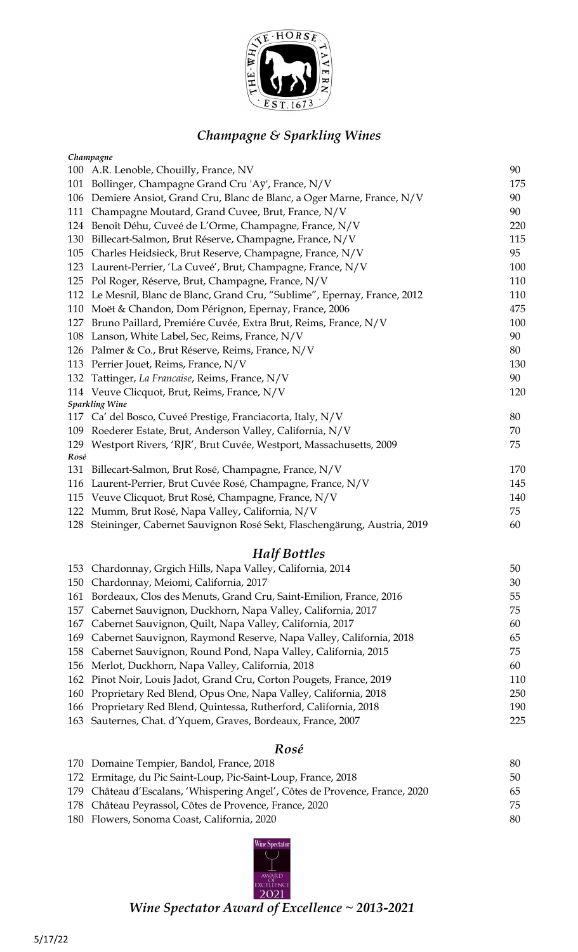

### *Champagne & Sparkling Wines*

|             | Champagne                                                                   |     |
|-------------|-----------------------------------------------------------------------------|-----|
|             | 100 A.R. Lenoble, Chouilly, France, NV                                      | 90  |
| 101         | Bollinger, Champagne Grand Cru 'Aÿ', France, N/V                            | 175 |
| 106         | Demiere Ansiot, Grand Cru, Blanc de Blanc, a Oger Marne, France, N/V        | 90  |
| 111         | Champagne Moutard, Grand Cuvee, Brut, France, N/V                           | 90  |
| 124         | Benoît Déhu, Cuveé de L'Orme, Champagne, France, N/V                        | 220 |
| 130         | Billecart-Salmon, Brut Réserve, Champagne, France, N/V                      | 115 |
| 105         | Charles Heidsieck, Brut Reserve, Champagne, France, N/V                     | 95  |
| 123         | Laurent-Perrier, 'La Cuveé', Brut, Champagne, France, N/V                   | 100 |
| 125         | Pol Roger, Réserve, Brut, Champagne, France, N/V                            | 110 |
| 112         | Le Mesnil, Blanc de Blanc, Grand Cru, "Sublime", Epernay, France, 2012      | 110 |
| 110         | Moët & Chandon, Dom Pérignon, Epernay, France, 2006                         | 475 |
| 127         | Bruno Paillard, Premiére Cuvée, Extra Brut, Reims, France, N/V              | 100 |
|             | 108 Lanson, White Label, Sec, Reims, France, N/V                            | 90  |
|             | 126 Palmer & Co., Brut Réserve, Reims, France, N/V                          | 80  |
|             | 113 Perrier Jouet, Reims, France, N/V                                       | 130 |
|             | 132 Tattinger, La Francaise, Reims, France, N/V                             | 90  |
|             | 114 Veuve Clicquot, Brut, Reims, France, N/V                                | 120 |
|             | <b>Sparkling Wine</b>                                                       |     |
|             | 117 Ca' del Bosco, Cuveé Prestige, Franciacorta, Italy, N/V                 | 80  |
| 109         | Roederer Estate, Brut, Anderson Valley, California, N/V                     | 70  |
| 129<br>Rosé | Westport Rivers, 'RJR', Brut Cuvée, Westport, Massachusetts, 2009           | 75  |
|             | 131 Billecart-Salmon, Brut Rosé, Champagne, France, N/V                     | 170 |
| 116         | Laurent-Perrier, Brut Cuvée Rosé, Champagne, France, N/V                    | 145 |
|             | 115 Veuve Clicquot, Brut Rosé, Champagne, France, N/V                       | 140 |
|             | 122 Mumm, Brut Rosé, Napa Valley, California, N/V                           | 75  |
|             | 128 Steininger, Cabernet Sauvignon Rosé Sekt, Flaschengärung, Austria, 2019 | 60  |
|             | <b>Half Bottles</b>                                                         |     |
|             | 153 Chardonnay, Grgich Hills, Napa Valley, California, 2014                 | 50  |
|             | 150 Chardonnay, Meiomi, California, 2017                                    | 30  |
| 161         | Bordeaux, Clos des Menuts, Grand Cru, Saint-Emilion, France, 2016           | 55  |
| 157         | Cabernet Sauvignon, Duckhorn, Napa Valley, California, 2017                 | 75  |
| 167         | Cabernet Sauvignon, Quilt, Napa Valley, California, 2017                    | 60  |
| 169         | Cabernet Sauvignon, Raymond Reserve, Napa Valley, California, 2018          | 65  |
| 158         | Cabernet Sauvignon, Round Pond, Napa Valley, California, 2015               | 75  |
|             | 156 Merlot, Duckhorn, Napa Valley, California, 2018                         | 60  |
|             |                                                                             |     |

162 Pinot Noir, Louis Jadot, Grand Cru, Corton Pougets, France, 2019 110 160 Proprietary Red Blend, Opus One, Napa Valley, California, 2018 250 166 Proprietary Red Blend, Quintessa, Rutherford, California, 2018 190

### 163 Sauternes, Chat. d'Yquem, Graves, Bordeaux, France, 2007 225

#### *Rosé*

| 170 Domaine Tempier, Bandol, France, 2018                                   | 80  |
|-----------------------------------------------------------------------------|-----|
| 172 Ermitage, du Pic Saint-Loup, Pic-Saint-Loup, France, 2018               | 50. |
| 179 Château d'Escalans, 'Whispering Angel', Côtes de Provence, France, 2020 | 65  |
| 178 Château Peyrassol, Côtes de Provence, France, 2020                      | 75. |
| 180 Flowers, Sonoma Coast, California, 2020                                 | 80  |



*Wine Spectator Award of Excellence ~ 2013-2021*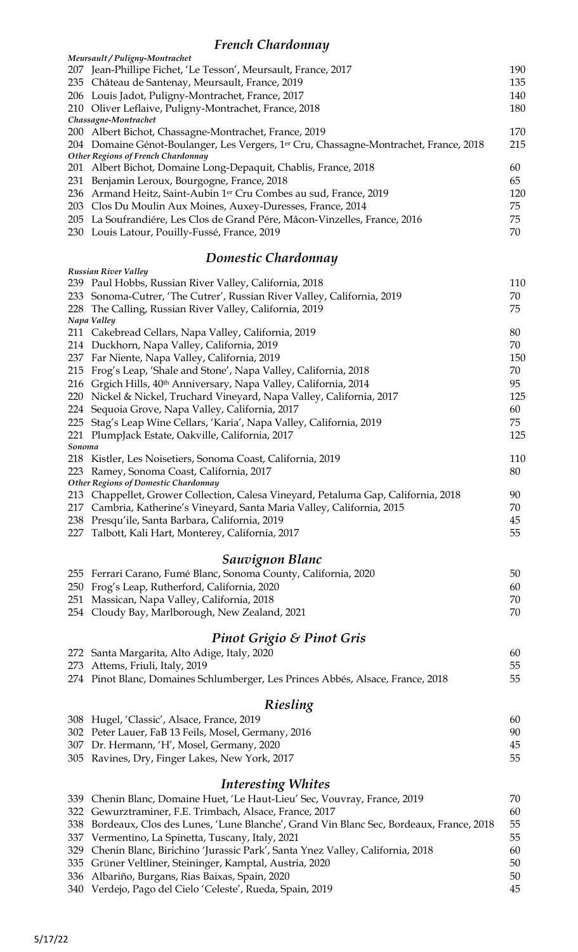### *French Chardonnay*

| Meursault / Puligny-Montrachet                                                                    |     |
|---------------------------------------------------------------------------------------------------|-----|
| 207 Jean-Phillipe Fichet, 'Le Tesson', Meursault, France, 2017                                    | 190 |
| 235 Château de Santenay, Meursault, France, 2019                                                  | 135 |
| 206 Louis Jadot, Puligny-Montrachet, France, 2017                                                 | 140 |
| 210 Oliver Leflaive, Puligny-Montrachet, France, 2018                                             | 180 |
| Chassagne-Montrachet                                                                              |     |
| 200 Albert Bichot, Chassagne-Montrachet, France, 2019                                             | 170 |
| 204 Domaine Génot-Boulanger, Les Vergers, 1 <sup>er</sup> Cru, Chassagne-Montrachet, France, 2018 | 215 |
| <b>Other Regions of French Chardonnay</b>                                                         |     |
| 201 Albert Bichot, Domaine Long-Depaquit, Chablis, France, 2018                                   | 60  |
| 231 Benjamin Leroux, Bourgogne, France, 2018                                                      | 65  |
| 236 Armand Heitz, Saint-Aubin 1er Cru Combes au sud, France, 2019                                 | 120 |
| 203 Clos Du Moulin Aux Moines, Auxey-Duresses, France, 2014                                       | 75. |
| 205 La Soufrandiére, Les Clos de Grand Pére, Mâcon-Vinzelles, France, 2016                        | 75  |
| 230 Louis Latour, Pouilly-Fussé, France, 2019                                                     | 70  |
|                                                                                                   |     |

### *Domestic Chardonnay*

| <b>Russian River Valley</b>                                                               |     |
|-------------------------------------------------------------------------------------------|-----|
| 239 Paul Hobbs, Russian River Valley, California, 2018                                    | 110 |
| 233 Sonoma-Cutrer, 'The Cutrer', Russian River Valley, California, 2019                   | 70  |
| 228 The Calling, Russian River Valley, California, 2019                                   | 75  |
| Napa Valley                                                                               |     |
| 211 Cakebread Cellars, Napa Valley, California, 2019                                      | 80  |
| 214 Duckhorn, Napa Valley, California, 2019                                               | 70  |
| 237 Far Niente, Napa Valley, California, 2019                                             | 150 |
| 215 Frog's Leap, 'Shale and Stone', Napa Valley, California, 2018                         | 70  |
| 216 Grgich Hills, 40th Anniversary, Napa Valley, California, 2014                         | 95  |
| 220 Nickel & Nickel, Truchard Vineyard, Napa Valley, California, 2017                     | 125 |
| 224 Sequoia Grove, Napa Valley, California, 2017                                          | 60  |
| 225 Stag's Leap Wine Cellars, 'Karia', Napa Valley, California, 2019                      | 75  |
| 221 PlumpJack Estate, Oakville, California, 2017                                          | 125 |
| Sonoma                                                                                    |     |
| 218 Kistler, Les Noisetiers, Sonoma Coast, California, 2019                               | 110 |
| 223 Ramey, Sonoma Coast, California, 2017                                                 | 80  |
| <b>Other Regions of Domestic Chardonnay</b>                                               |     |
| 213 Chappellet, Grower Collection, Calesa Vineyard, Petaluma Gap, California, 2018        | 90  |
| 217 Cambria, Katherine's Vineyard, Santa Maria Valley, California, 2015                   | 70  |
| 238 Presqu'ile, Santa Barbara, California, 2019                                           | 45  |
| 227 Talbott, Kali Hart, Monterey, California, 2017                                        | 55  |
| <b>Sauvignon Blanc</b>                                                                    |     |
| 255 Ferrari Carano, Fumé Blanc, Sonoma County, California, 2020                           | 50  |
| 250 Frog's Leap, Rutherford, California, 2020                                             | 60  |
| 251 Massican, Napa Valley, California, 2018                                               | 70  |
| 254 Cloudy Bay, Marlborough, New Zealand, 2021                                            | 70  |
|                                                                                           |     |
| Pinot Grigio & Pinot Gris                                                                 |     |
| 272 Santa Margarita, Alto Adige, Italy, 2020                                              | 60  |
| 273 Attems, Friuli, Italy, 2019                                                           | 55  |
| 274 Pinot Blanc, Domaines Schlumberger, Les Princes Abbés, Alsace, France, 2018           | 55  |
| Riesling                                                                                  |     |
| 308 Hugel, 'Classic', Alsace, France, 2019                                                | 60  |
| 302 Peter Lauer, FaB 13 Feils, Mosel, Germany, 2016                                       | 90  |
| 307 Dr. Hermann, 'H', Mosel, Germany, 2020                                                | 45  |
| 305 Ravines, Dry, Finger Lakes, New York, 2017                                            | 55  |
|                                                                                           |     |
| <b>Interesting Whites</b>                                                                 |     |
| Chenin Blanc, Domaine Huet, 'Le Haut-Lieu' Sec, Vouvray, France, 2019<br>339              | 70  |
| 322 Gewurztraminer, F.E. Trimbach, Alsace, France, 2017                                   | 60  |
| 338 Bordeaux, Clos des Lunes, 'Lune Blanche', Grand Vin Blanc Sec, Bordeaux, France, 2018 | 55  |
| 337 Vermentino, La Spinetta, Tuscany, Italy, 2021                                         | 55  |
| Chenin Blanc, Birichino 'Jurassic Park', Santa Ynez Valley, California, 2018<br>329       | 60  |
| Grüner Veltliner, Steininger, Kamptal, Austria, 2020<br>335                               | 50  |
| 336 Albariño, Burgans, Rias Baixas, Spain, 2020                                           | 50  |

340 Verdejo, Pago del Cielo 'Celeste', Rueda, Spain, 2019 45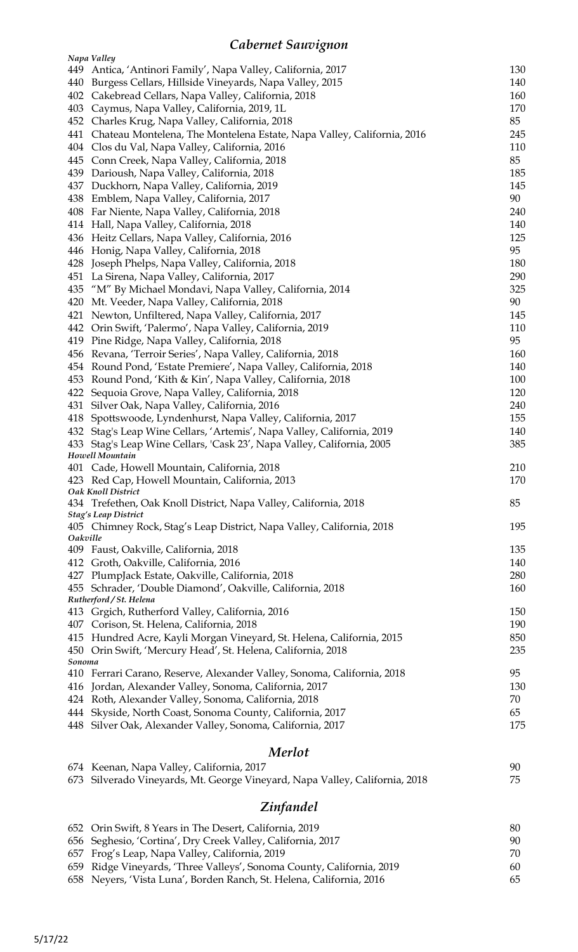# *Cabernet Sauvignon*

|          | $\epsilon$ <sub>n</sub> $\epsilon$ <sub>n</sub> $\epsilon$ <sub>i</sub> $\epsilon$ <sub>i</sub> $\epsilon$ <sub>i</sub> $\epsilon$ <sub>i</sub> $\epsilon$ <sub>i</sub> $\epsilon$ <sub>i</sub> $\epsilon$ |     |
|----------|------------------------------------------------------------------------------------------------------------------------------------------------------------------------------------------------------------|-----|
|          | Napa Valley                                                                                                                                                                                                |     |
|          | 449 Antica, 'Antinori Family', Napa Valley, California, 2017                                                                                                                                               | 130 |
| 440      | Burgess Cellars, Hillside Vineyards, Napa Valley, 2015                                                                                                                                                     | 140 |
| 402      | Cakebread Cellars, Napa Valley, California, 2018                                                                                                                                                           | 160 |
| 403      | Caymus, Napa Valley, California, 2019, 1L                                                                                                                                                                  | 170 |
| 452      | Charles Krug, Napa Valley, California, 2018                                                                                                                                                                | 85  |
| 441      | Chateau Montelena, The Montelena Estate, Napa Valley, California, 2016                                                                                                                                     | 245 |
| 404      | Clos du Val, Napa Valley, California, 2016                                                                                                                                                                 | 110 |
| 445      | Conn Creek, Napa Valley, California, 2018                                                                                                                                                                  | 85  |
| 439      | Darioush, Napa Valley, California, 2018                                                                                                                                                                    | 185 |
| 437      | Duckhorn, Napa Valley, California, 2019                                                                                                                                                                    | 145 |
| 438      | Emblem, Napa Valley, California, 2017                                                                                                                                                                      | 90  |
| 408      | Far Niente, Napa Valley, California, 2018                                                                                                                                                                  | 240 |
| 414      | Hall, Napa Valley, California, 2018                                                                                                                                                                        | 140 |
| 436      | Heitz Cellars, Napa Valley, California, 2016                                                                                                                                                               | 125 |
| 446      | Honig, Napa Valley, California, 2018                                                                                                                                                                       | 95  |
| 428      | Joseph Phelps, Napa Valley, California, 2018                                                                                                                                                               | 180 |
| 451      | La Sirena, Napa Valley, California, 2017                                                                                                                                                                   | 290 |
| 435      | "M" By Michael Mondavi, Napa Valley, California, 2014                                                                                                                                                      | 325 |
| 420      | Mt. Veeder, Napa Valley, California, 2018                                                                                                                                                                  | 90  |
| 421      | Newton, Unfiltered, Napa Valley, California, 2017                                                                                                                                                          | 145 |
| 442      | Orin Swift, 'Palermo', Napa Valley, California, 2019                                                                                                                                                       | 110 |
| 419      | Pine Ridge, Napa Valley, California, 2018                                                                                                                                                                  | 95  |
| 456      | Revana, 'Terroir Series', Napa Valley, California, 2018                                                                                                                                                    | 160 |
| 454      | Round Pond, 'Estate Premiere', Napa Valley, California, 2018                                                                                                                                               | 140 |
| 453      | Round Pond, 'Kith & Kin', Napa Valley, California, 2018                                                                                                                                                    | 100 |
|          | 422 Sequoia Grove, Napa Valley, California, 2018                                                                                                                                                           | 120 |
| 431      | Silver Oak, Napa Valley, California, 2016                                                                                                                                                                  | 240 |
| 418      | Spottswoode, Lyndenhurst, Napa Valley, California, 2017                                                                                                                                                    | 155 |
| 432      | Stag's Leap Wine Cellars, 'Artemis', Napa Valley, California, 2019                                                                                                                                         | 140 |
| 433      | Stag's Leap Wine Cellars, 'Cask 23', Napa Valley, California, 2005                                                                                                                                         | 385 |
|          | Howell Mountain                                                                                                                                                                                            |     |
|          | 401 Cade, Howell Mountain, California, 2018                                                                                                                                                                | 210 |
|          | 423 Red Cap, Howell Mountain, California, 2013<br>Oak Knoll District                                                                                                                                       | 170 |
|          | 434 Trefethen, Oak Knoll District, Napa Valley, California, 2018                                                                                                                                           | 85  |
|          | <b>Stag's Leap District</b>                                                                                                                                                                                |     |
|          | 405 Chimney Rock, Stag's Leap District, Napa Valley, California, 2018                                                                                                                                      | 195 |
| Oakville |                                                                                                                                                                                                            |     |
|          | 409 Faust, Oakville, California, 2018                                                                                                                                                                      | 135 |
|          | 412 Groth, Oakville, California, 2016                                                                                                                                                                      | 140 |
| 427      | PlumpJack Estate, Oakville, California, 2018                                                                                                                                                               | 280 |
| 455      | Schrader, 'Double Diamond', Oakville, California, 2018                                                                                                                                                     | 160 |
|          | Rutherford / St. Helena                                                                                                                                                                                    |     |
|          | 413 Grgich, Rutherford Valley, California, 2016                                                                                                                                                            | 150 |
|          | 407 Corison, St. Helena, California, 2018                                                                                                                                                                  | 190 |
| 415      | Hundred Acre, Kayli Morgan Vineyard, St. Helena, California, 2015                                                                                                                                          | 850 |
|          | 450 Orin Swift, 'Mercury Head', St. Helena, California, 2018                                                                                                                                               | 235 |
| Sonoma   |                                                                                                                                                                                                            |     |
|          | 410 Ferrari Carano, Reserve, Alexander Valley, Sonoma, California, 2018                                                                                                                                    | 95  |
| 416      | Jordan, Alexander Valley, Sonoma, California, 2017                                                                                                                                                         | 130 |
|          | 424 Roth, Alexander Valley, Sonoma, California, 2018                                                                                                                                                       | 70  |
| 444      | Skyside, North Coast, Sonoma County, California, 2017                                                                                                                                                      | 65  |
|          | 448 Silver Oak, Alexander Valley, Sonoma, California, 2017                                                                                                                                                 | 175 |
|          | <b>Merlot</b>                                                                                                                                                                                              |     |
|          |                                                                                                                                                                                                            | 90  |
|          | 674 Keenan, Napa Valley, California, 2017                                                                                                                                                                  |     |

| the contract of the contract of the contract of the contract of the contract of the contract of the contract of |                                                                             |  |
|-----------------------------------------------------------------------------------------------------------------|-----------------------------------------------------------------------------|--|
|                                                                                                                 | 673 Silverado Vineyards, Mt. George Vineyard, Napa Valley, California, 2018 |  |

# *Zinfandel*

|  | 652 Orin Swift, 8 Years in The Desert, California, 2019               | 80 |
|--|-----------------------------------------------------------------------|----|
|  | 656 Seghesio, 'Cortina', Dry Creek Valley, California, 2017           | 90 |
|  | 657 Frog's Leap, Napa Valley, California, 2019                        | 70 |
|  | 659 Ridge Vineyards, 'Three Valleys', Sonoma County, California, 2019 | 60 |
|  | 658 Neyers, 'Vista Luna', Borden Ranch, St. Helena, California, 2016  | 65 |
|  |                                                                       |    |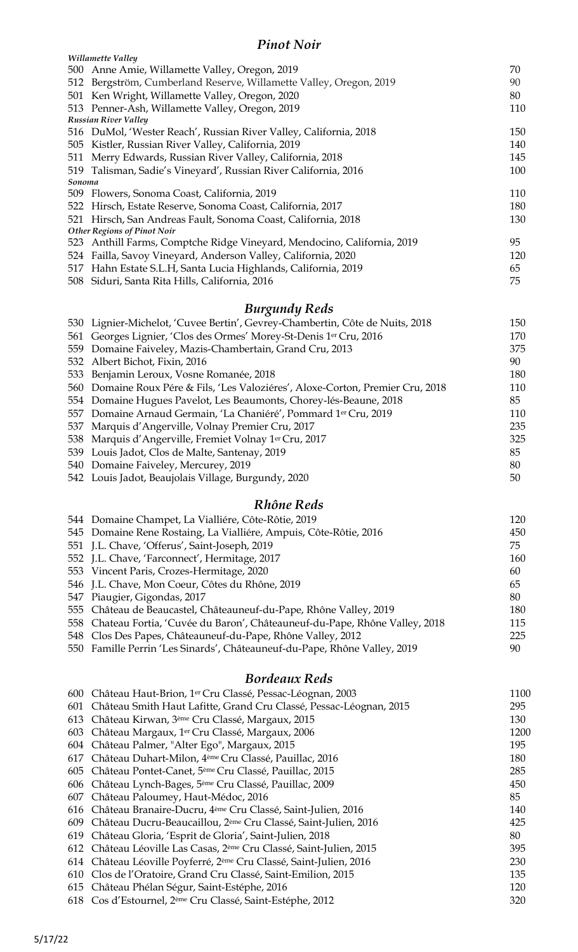#### *Pinot Noir*

|        | Willamette Valley                                                               |      |
|--------|---------------------------------------------------------------------------------|------|
|        | 500 Anne Amie, Willamette Valley, Oregon, 2019                                  | 70   |
|        | 512 Bergström, Cumberland Reserve, Willamette Valley, Oregon, 2019              | 90   |
|        | 501 Ken Wright, Willamette Valley, Oregon, 2020                                 | 80   |
|        | 513 Penner-Ash, Willamette Valley, Oregon, 2019                                 | 110  |
|        | <b>Russian River Valley</b>                                                     |      |
|        | 516 DuMol, 'Wester Reach', Russian River Valley, California, 2018               | 150  |
|        | 505 Kistler, Russian River Valley, California, 2019                             | 140  |
|        | 511 Merry Edwards, Russian River Valley, California, 2018                       | 145  |
| Sonoma | 519 Talisman, Sadie's Vineyard', Russian River California, 2016                 | 100  |
|        | 509 Flowers, Sonoma Coast, California, 2019                                     | 110  |
|        | 522 Hirsch, Estate Reserve, Sonoma Coast, California, 2017                      | 180  |
|        | 521 Hirsch, San Andreas Fault, Sonoma Coast, California, 2018                   | 130  |
|        | <b>Other Regions of Pinot Noir</b>                                              |      |
|        | 523 Anthill Farms, Comptche Ridge Vineyard, Mendocino, California, 2019         | 95   |
|        | 524 Failla, Savoy Vineyard, Anderson Valley, California, 2020                   | 120  |
|        | 517 Hahn Estate S.L.H, Santa Lucia Highlands, California, 2019                  | 65   |
|        | 508 Siduri, Santa Rita Hills, California, 2016                                  | 75   |
|        | <b>Burgundy Reds</b>                                                            |      |
|        | 530 Lignier-Michelot, 'Cuvee Bertin', Gevrey-Chambertin, Côte de Nuits, 2018    | 150  |
|        | 561 Georges Lignier, 'Clos des Ormes' Morey-St-Denis 1er Cru, 2016              | 170  |
|        | 559 Domaine Faiveley, Mazis-Chambertain, Grand Cru, 2013                        | 375  |
|        | 532 Albert Bichot, Fixin, 2016                                                  | 90   |
|        | 533 Benjamin Leroux, Vosne Romanée, 2018                                        | 180  |
|        | 560 Domaine Roux Pére & Fils, 'Les Valoziéres', Aloxe-Corton, Premier Cru, 2018 | 110  |
|        | 554 Domaine Hugues Pavelot, Les Beaumonts, Chorey-lés-Beaune, 2018              | 85   |
|        | 557 Domaine Arnaud Germain, 'La Chaniéré', Pommard 1er Cru, 2019                | 110  |
| 537    | Marquis d'Angerville, Volnay Premier Cru, 2017                                  | 235  |
| 538    | Marquis d'Angerville, Fremiet Volnay 1er Cru, 2017                              | 325  |
|        | 539 Louis Jadot, Clos de Malte, Santenay, 2019                                  | 85   |
|        | 540 Domaine Faiveley, Mercurey, 2019                                            | 80   |
|        | 542 Louis Jadot, Beaujolais Village, Burgundy, 2020                             | 50   |
|        | Rhône Reds                                                                      |      |
|        | 544 Domaine Champet, La Vialliére, Côte-Rôtie, 2019                             | 120  |
|        | 545 Domaine Rene Rostaing, La Vialliére, Ampuis, Côte-Rôtie, 2016               | 450  |
|        | 551 J.L. Chave, 'Offerus', Saint-Joseph, 2019                                   | 75   |
|        | 552 J.L. Chave, 'Farconnect', Hermitage, 2017                                   | 160  |
|        | 553 Vincent Paris, Crozes-Hermitage, 2020                                       | 60   |
|        | 546 J.L. Chave, Mon Coeur, Côtes du Rhône, 2019                                 | 65   |
|        | 547 Piaugier, Gigondas, 2017                                                    | 80   |
|        | 555 Château de Beaucastel, Châteauneuf-du-Pape, Rhône Valley, 2019              | 180  |
|        | 558 Chateau Fortia, 'Cuvée du Baron', Châteauneuf-du-Pape, Rhône Valley, 2018   | 115  |
|        | 548 Clos Des Papes, Châteauneuf-du-Pape, Rhône Valley, 2012                     | 225  |
|        | 550 Famille Perrin 'Les Sinards', Châteauneuf-du-Pape, Rhône Valley, 2019       | 90   |
|        | <b>Bordeaux Reds</b>                                                            |      |
|        | 600 Château Haut-Brion, 1er Cru Classé, Pessac-Léognan, 2003                    | 1100 |
|        | 601 Château Smith Haut Lafitte, Grand Cru Classé, Pessac-Léognan, 2015          | 295  |
|        | 613 Château Kirwan, 3 <sup>ème</sup> Cru Classé, Margaux, 2015                  | 130  |
|        | 603 Château Margaux, 1er Cru Classé, Margaux, 2006                              | 1200 |
|        | 604 Château Palmer, "Alter Ego", Margaux, 2015                                  | 195  |
|        | 617 Château Duhart-Milon, 4 <sup>ème</sup> Cru Classé, Pauillac, 2016           | 180  |
|        | 605 Château Pontet-Canet, 5 <sup>ème</sup> Cru Classé, Pauillac, 2015           | 285  |
| 606    | Château Lynch-Bages, 5 <sup>ème</sup> Cru Classé, Pauillac, 2009                | 450  |
|        | 607 Château Paloumey, Haut-Médoc, 2016                                          | 85   |
|        | 616 Château Branaire-Ducru, 4 <sup>ème</sup> Cru Classé, Saint-Julien, 2016     | 140  |
|        | 609 Château Ducru-Beaucaillou, 2 <sup>ème</sup> Cru Classé, Saint-Julien, 2016  | 425  |
|        | 619 Château Gloria, 'Esprit de Gloria', Saint-Julien, 2018                      | 80   |
|        | 612 Château Léoville Las Casas, 2 <sup>ème</sup> Cru Classé, Saint-Julien, 2015 | 395  |
|        | 614 Château Léoville Poyferré, 2 <sup>ème</sup> Cru Classé, Saint-Julien, 2016  | 230  |
|        | 610 Clos de l'Oratoire, Grand Cru Classé, Saint-Emilion, 2015                   | 135  |
|        | 615 Château Phélan Ségur, Saint-Estéphe, 2016                                   | 120  |
|        | 618 Cos d'Estournel, 2ème Cru Classé, Saint-Estéphe, 2012                       | 320  |
|        |                                                                                 |      |